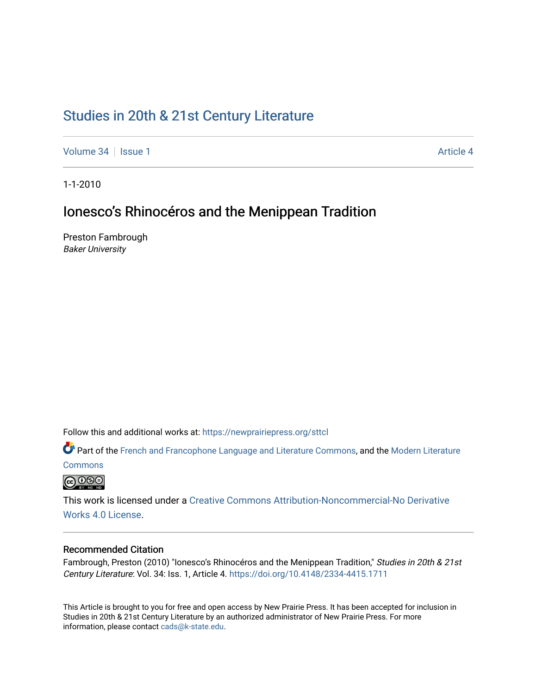# [Studies in 20th & 21st Century Literature](https://newprairiepress.org/sttcl)

[Volume 34](https://newprairiepress.org/sttcl/vol34) | [Issue 1](https://newprairiepress.org/sttcl/vol34/iss1) [Article 4](https://newprairiepress.org/sttcl/vol34/iss1/4) Article 4

1-1-2010

# Ionesco's Rhinocéros and the Menippean Tradition

Preston Fambrough Baker University

Follow this and additional works at: [https://newprairiepress.org/sttcl](https://newprairiepress.org/sttcl?utm_source=newprairiepress.org%2Fsttcl%2Fvol34%2Fiss1%2F4&utm_medium=PDF&utm_campaign=PDFCoverPages) 

**C**<sup> $\bullet$ </sup> Part of the [French and Francophone Language and Literature Commons,](http://network.bepress.com/hgg/discipline/463?utm_source=newprairiepress.org%2Fsttcl%2Fvol34%2Fiss1%2F4&utm_medium=PDF&utm_campaign=PDFCoverPages) and the [Modern Literature](http://network.bepress.com/hgg/discipline/1050?utm_source=newprairiepress.org%2Fsttcl%2Fvol34%2Fiss1%2F4&utm_medium=PDF&utm_campaign=PDFCoverPages) **[Commons](http://network.bepress.com/hgg/discipline/1050?utm_source=newprairiepress.org%2Fsttcl%2Fvol34%2Fiss1%2F4&utm_medium=PDF&utm_campaign=PDFCoverPages)** 

<u>@ 000</u>

This work is licensed under a [Creative Commons Attribution-Noncommercial-No Derivative](https://creativecommons.org/licenses/by-nc-nd/4.0/)  [Works 4.0 License](https://creativecommons.org/licenses/by-nc-nd/4.0/).

## Recommended Citation

Fambrough, Preston (2010) "Ionesco's Rhinocéros and the Menippean Tradition," Studies in 20th & 21st Century Literature: Vol. 34: Iss. 1, Article 4. <https://doi.org/10.4148/2334-4415.1711>

This Article is brought to you for free and open access by New Prairie Press. It has been accepted for inclusion in Studies in 20th & 21st Century Literature by an authorized administrator of New Prairie Press. For more information, please contact [cads@k-state.edu](mailto:cads@k-state.edu).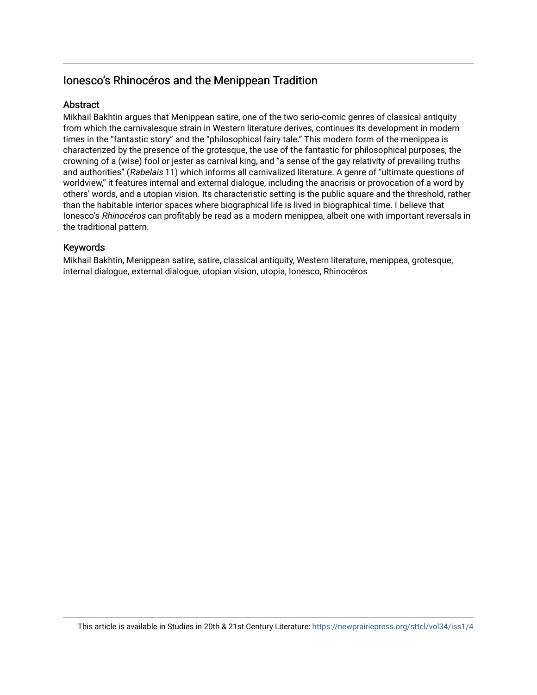# Ionesco's Rhinocéros and the Menippean Tradition

## **Abstract**

Mikhail Bakhtin argues that Menippean satire, one of the two serio-comic genres of classical antiquity from which the carnivalesque strain in Western literature derives, continues its development in modern times in the "fantastic story" and the "philosophical fairy tale." This modern form of the menippea is characterized by the presence of the grotesque, the use of the fantastic for philosophical purposes, the crowning of a (wise) fool or jester as carnival king, and "a sense of the gay relativity of prevailing truths and authorities" (Rabelais 11) which informs all carnivalized literature. A genre of "ultimate questions of worldview," it features internal and external dialogue, including the anacrisis or provocation of a word by others' words, and a utopian vision. Its characteristic setting is the public square and the threshold, rather than the habitable interior spaces where biographical life is lived in biographical time. I believe that Ionesco's Rhinocéros can profitably be read as a modern menippea, albeit one with important reversals in the traditional pattern.

## Keywords

Mikhail Bakhtin, Menippean satire, satire, classical antiquity, Western literature, menippea, grotesque, internal dialogue, external dialogue, utopian vision, utopia, Ionesco, Rhinocéros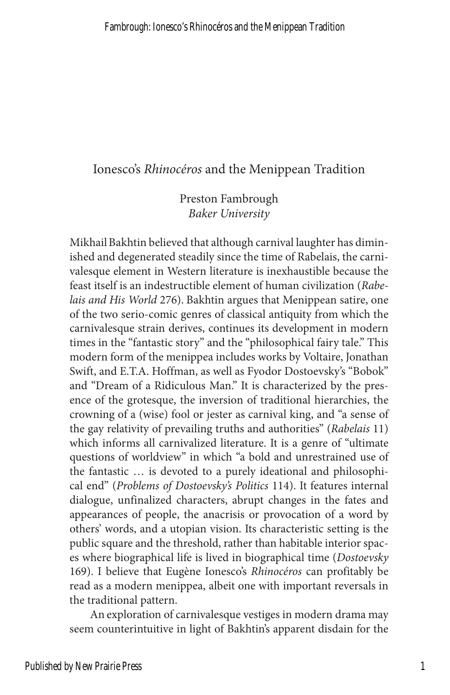## Ionesco's *Rhinocéros* and the Menippean Tradition

Preston Fambrough *Baker University*

Mikhail Bakhtin believed that although carnival laughter has diminished and degenerated steadily since the time of Rabelais, the carnivalesque element in Western literature is inexhaustible because the feast itself is an indestructible element of human civilization (*Rabelais and His World* 276). Bakhtin argues that Menippean satire, one of the two serio-comic genres of classical antiquity from which the carnivalesque strain derives, continues its development in modern times in the "fantastic story" and the "philosophical fairy tale." This modern form of the menippea includes works by Voltaire, Jonathan Swift, and E.T.A. Hoffman, as well as Fyodor Dostoevsky's "Bobok" and "Dream of a Ridiculous Man." It is characterized by the presence of the grotesque, the inversion of traditional hierarchies, the crowning of a (wise) fool or jester as carnival king, and "a sense of the gay relativity of prevailing truths and authorities" (*Rabelais* 11) which informs all carnivalized literature. It is a genre of "ultimate questions of worldview" in which "a bold and unrestrained use of the fantastic … is devoted to a purely ideational and philosophical end" (*Problems of Dostoevsky's Politics* 114). It features internal dialogue, unfinalized characters, abrupt changes in the fates and appearances of people, the anacrisis or provocation of a word by others' words, and a utopian vision. Its characteristic setting is the public square and the threshold, rather than habitable interior spaces where biographical life is lived in biographical time (*Dostoevsky*  169). I believe that Eugène Ionesco's *Rhinocéros* can profitably be read as a modern menippea, albeit one with important reversals in the traditional pattern.

An exploration of carnivalesque vestiges in modern drama may seem counterintuitive in light of Bakhtin's apparent disdain for the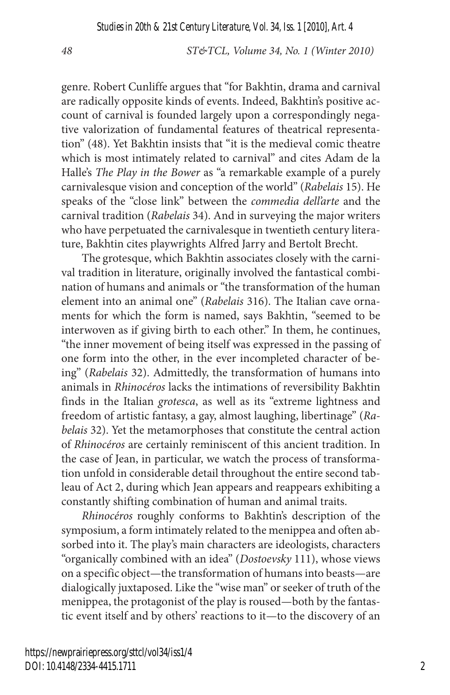genre. Robert Cunliffe argues that "for Bakhtin, drama and carnival are radically opposite kinds of events. Indeed, Bakhtin's positive account of carnival is founded largely upon a correspondingly negative valorization of fundamental features of theatrical representation" (48). Yet Bakhtin insists that "it is the medieval comic theatre which is most intimately related to carnival" and cites Adam de la Halle's *The Play in the Bower* as "a remarkable example of a purely carnivalesque vision and conception of the world" (*Rabelais* 15). He speaks of the "close link" between the *commedia dell'arte* and the carnival tradition (*Rabelais* 34). And in surveying the major writers who have perpetuated the carnivalesque in twentieth century literature, Bakhtin cites playwrights Alfred Jarry and Bertolt Brecht.

The grotesque, which Bakhtin associates closely with the carnival tradition in literature, originally involved the fantastical combination of humans and animals or "the transformation of the human element into an animal one" (*Rabelais* 316). The Italian cave ornaments for which the form is named, says Bakhtin, "seemed to be interwoven as if giving birth to each other." In them, he continues, "the inner movement of being itself was expressed in the passing of one form into the other, in the ever incompleted character of being" (*Rabelais* 32). Admittedly, the transformation of humans into animals in *Rhinocéros* lacks the intimations of reversibility Bakhtin finds in the Italian *grotesca*, as well as its "extreme lightness and freedom of artistic fantasy, a gay, almost laughing, libertinage" (*Rabelais* 32). Yet the metamorphoses that constitute the central action of *Rhinocéros* are certainly reminiscent of this ancient tradition. In the case of Jean, in particular, we watch the process of transformation unfold in considerable detail throughout the entire second tableau of Act 2, during which Jean appears and reappears exhibiting a constantly shifting combination of human and animal traits.

*Rhinocéros* roughly conforms to Bakhtin's description of the symposium, a form intimately related to the menippea and often absorbed into it. The play's main characters are ideologists, characters "organically combined with an idea" (*Dostoevsky* 111), whose views on a specific object—the transformation of humans into beasts—are dialogically juxtaposed. Like the "wise man" or seeker of truth of the menippea, the protagonist of the play is roused—both by the fantastic event itself and by others' reactions to it—to the discovery of an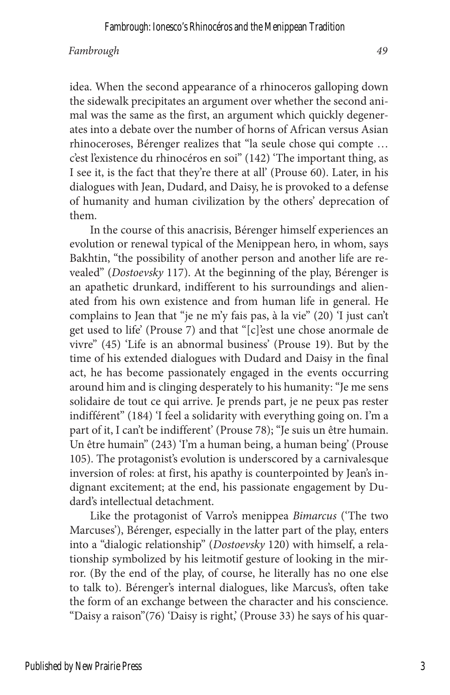idea. When the second appearance of a rhinoceros galloping down the sidewalk precipitates an argument over whether the second animal was the same as the first, an argument which quickly degenerates into a debate over the number of horns of African versus Asian rhinoceroses, Bérenger realizes that "la seule chose qui compte … c'est l'existence du rhinocéros en soi" (142) 'The important thing, as I see it, is the fact that they're there at all' (Prouse 60). Later, in his dialogues with Jean, Dudard, and Daisy, he is provoked to a defense of humanity and human civilization by the others' deprecation of them.

In the course of this anacrisis, Bérenger himself experiences an evolution or renewal typical of the Menippean hero, in whom, says Bakhtin, "the possibility of another person and another life are revealed" (*Dostoevsky* 117). At the beginning of the play, Bérenger is an apathetic drunkard, indifferent to his surroundings and alienated from his own existence and from human life in general. He complains to Jean that "je ne m'y fais pas, à la vie" (20) 'I just can't get used to life' (Prouse 7) and that "[c]'est une chose anormale de vivre" (45) 'Life is an abnormal business' (Prouse 19). But by the time of his extended dialogues with Dudard and Daisy in the final act, he has become passionately engaged in the events occurring around him and is clinging desperately to his humanity: "Je me sens solidaire de tout ce qui arrive. Je prends part, je ne peux pas rester indifférent" (184) 'I feel a solidarity with everything going on. I'm a part of it, I can't be indifferent' (Prouse 78); "Je suis un être humain. Un être humain" (243) 'I'm a human being, a human being' (Prouse 105). The protagonist's evolution is underscored by a carnivalesque inversion of roles: at first, his apathy is counterpointed by Jean's indignant excitement; at the end, his passionate engagement by Dudard's intellectual detachment.

Like the protagonist of Varro's menippea *Bimarcus* ('The two Marcuses'), Bérenger, especially in the latter part of the play, enters into a "dialogic relationship" (*Dostoevsky* 120) with himself, a relationship symbolized by his leitmotif gesture of looking in the mirror. (By the end of the play, of course, he literally has no one else to talk to). Bérenger's internal dialogues, like Marcus's, often take the form of an exchange between the character and his conscience. "Daisy a raison"(76) 'Daisy is right,' (Prouse 33) he says of his quar-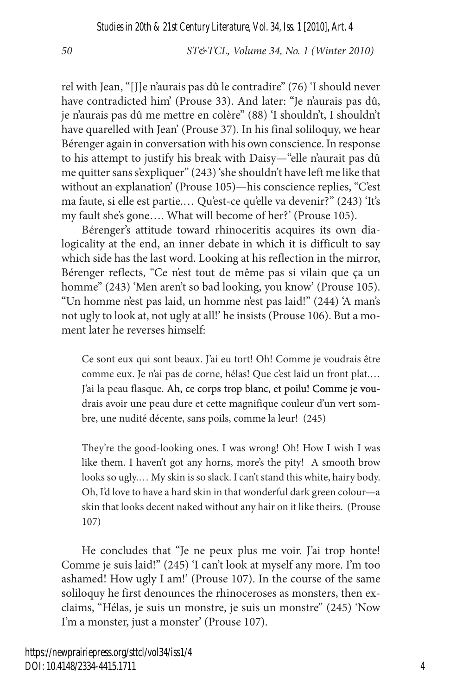rel with Jean, "[J]e n'aurais pas dû le contradire" (76) 'I should never have contradicted him' (Prouse 33). And later: "Je n'aurais pas dû, je n'aurais pas dû me mettre en colère" (88) 'I shouldn't, I shouldn't have quarelled with Jean' (Prouse 37). In his final soliloquy, we hear Bérenger again in conversation with his own conscience. In response to his attempt to justify his break with Daisy—"elle n'aurait pas dû me quitter sans s'expliquer" (243) 'she shouldn't have left me like that without an explanation' (Prouse 105)—his conscience replies, "C'est ma faute, si elle est partie.… Qu'est-ce qu'elle va devenir?" (243) 'It's my fault she's gone…. What will become of her?' (Prouse 105).

Bérenger's attitude toward rhinoceritis acquires its own dialogicality at the end, an inner debate in which it is difficult to say which side has the last word. Looking at his reflection in the mirror, Bérenger reflects, "Ce n'est tout de même pas si vilain que ça un homme" (243) 'Men aren't so bad looking, you know' (Prouse 105). "Un homme n'est pas laid, un homme n'est pas laid!" (244) 'A man's not ugly to look at, not ugly at all!' he insists (Prouse 106). But a moment later he reverses himself:

Ce sont eux qui sont beaux. J'ai eu tort! Oh! Comme je voudrais être comme eux. Je n'ai pas de corne, hélas! Que c'est laid un front plat.… J'ai la peau flasque. Ah, ce corps trop blanc, et poilu! Comme je voudrais avoir une peau dure et cette magnifique couleur d'un vert sombre, une nudité décente, sans poils, comme la leur! (245)

They're the good-looking ones. I was wrong! Oh! How I wish I was like them. I haven't got any horns, more's the pity! A smooth brow looks so ugly.… My skin is so slack. I can't stand this white, hairy body. Oh, I'd love to have a hard skin in that wonderful dark green colour—a skin that looks decent naked without any hair on it like theirs. (Prouse 107)

He concludes that "Je ne peux plus me voir. J'ai trop honte! Comme je suis laid!" (245) 'I can't look at myself any more. I'm too ashamed! How ugly I am!' (Prouse 107). In the course of the same soliloquy he first denounces the rhinoceroses as monsters, then exclaims, "Hélas, je suis un monstre, je suis un monstre" (245) 'Now I'm a monster, just a monster' (Prouse 107).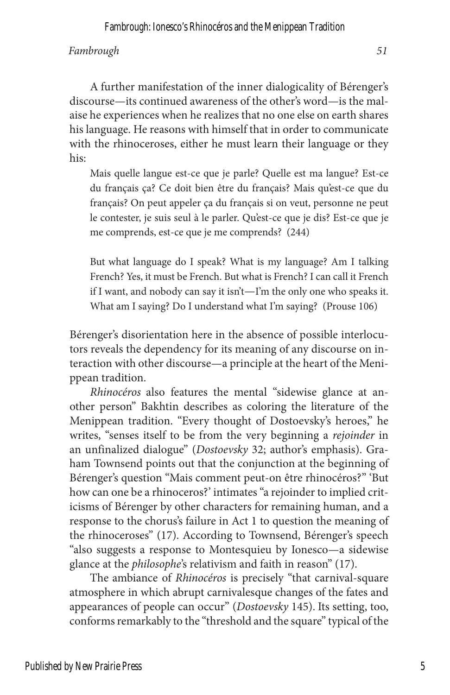Fambrough: Ionesco's Rhinocéros and the Menippean Tradition

### *Fambrough 51*

A further manifestation of the inner dialogicality of Bérenger's discourse—its continued awareness of the other's word—is the malaise he experiences when he realizes that no one else on earth shares his language. He reasons with himself that in order to communicate with the rhinoceroses, either he must learn their language or they his:

Mais quelle langue est-ce que je parle? Quelle est ma langue? Est-ce du français ça? Ce doit bien être du français? Mais qu'est-ce que du français? On peut appeler ça du français si on veut, personne ne peut le contester, je suis seul à le parler. Qu'est-ce que je dis? Est-ce que je me comprends, est-ce que je me comprends? (244)

But what language do I speak? What is my language? Am I talking French? Yes, it must be French. But what is French? I can call it French if I want, and nobody can say it isn't—I'm the only one who speaks it. What am I saying? Do I understand what I'm saying? (Prouse 106)

Bérenger's disorientation here in the absence of possible interlocutors reveals the dependency for its meaning of any discourse on interaction with other discourse—a principle at the heart of the Menippean tradition.

*Rhinocéros* also features the mental "sidewise glance at another person" Bakhtin describes as coloring the literature of the Menippean tradition. "Every thought of Dostoevsky's heroes," he writes, "senses itself to be from the very beginning a *rejoinder* in an unfinalized dialogue" (*Dostoevsky* 32; author's emphasis). Graham Townsend points out that the conjunction at the beginning of Bérenger's question "Mais comment peut-on être rhinocéros?" 'But how can one be a rhinoceros?' intimates "a rejoinder to implied criticisms of Bérenger by other characters for remaining human, and a response to the chorus's failure in Act 1 to question the meaning of the rhinoceroses" (17). According to Townsend, Bérenger's speech "also suggests a response to Montesquieu by Ionesco—a sidewise glance at the *philosophe*'s relativism and faith in reason" (17).

The ambiance of *Rhinocéros* is precisely "that carnival-square atmosphere in which abrupt carnivalesque changes of the fates and appearances of people can occur" (*Dostoevsky* 145). Its setting, too, conforms remarkably to the "threshold and the square" typical of the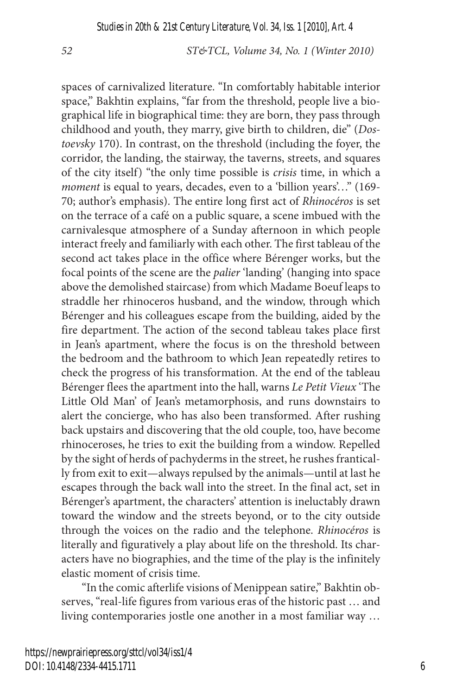spaces of carnivalized literature. "In comfortably habitable interior space," Bakhtin explains, "far from the threshold, people live a biographical life in biographical time: they are born, they pass through childhood and youth, they marry, give birth to children, die" (*Dostoevsky* 170). In contrast, on the threshold (including the foyer, the corridor, the landing, the stairway, the taverns, streets, and squares of the city itself) "the only time possible is *crisis* time, in which a *moment* is equal to years, decades, even to a 'billion years'..." (169-70; author's emphasis). The entire long first act of *Rhinocéros* is set on the terrace of a café on a public square, a scene imbued with the carnivalesque atmosphere of a Sunday afternoon in which people interact freely and familiarly with each other. The first tableau of the second act takes place in the office where Bérenger works, but the focal points of the scene are the *palier* 'landing' (hanging into space above the demolished staircase) from which Madame Boeuf leaps to straddle her rhinoceros husband, and the window, through which Bérenger and his colleagues escape from the building, aided by the fire department. The action of the second tableau takes place first in Jean's apartment, where the focus is on the threshold between the bedroom and the bathroom to which Jean repeatedly retires to check the progress of his transformation. At the end of the tableau Bérenger flees the apartment into the hall, warns *Le Petit Vieux* 'The Little Old Man' of Jean's metamorphosis, and runs downstairs to alert the concierge, who has also been transformed. After rushing back upstairs and discovering that the old couple, too, have become rhinoceroses, he tries to exit the building from a window. Repelled by the sight of herds of pachyderms in the street, he rushes frantically from exit to exit—always repulsed by the animals—until at last he escapes through the back wall into the street. In the final act, set in Bérenger's apartment, the characters' attention is ineluctably drawn toward the window and the streets beyond, or to the city outside through the voices on the radio and the telephone. *Rhinocéros* is literally and figuratively a play about life on the threshold. Its characters have no biographies, and the time of the play is the infinitely elastic moment of crisis time.

"In the comic afterlife visions of Menippean satire," Bakhtin observes, "real-life figures from various eras of the historic past … and living contemporaries jostle one another in a most familiar way …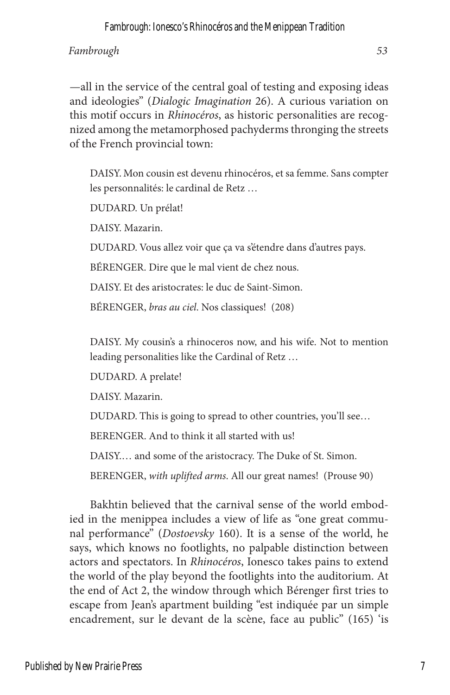—all in the service of the central goal of testing and exposing ideas and ideologies" (*Dialogic Imagination* 26). A curious variation on this motif occurs in *Rhinocéros*, as historic personalities are recognized among the metamorphosed pachyderms thronging the streets of the French provincial town:

DAISY. Mon cousin est devenu rhinocéros, et sa femme. Sans compter les personnalités: le cardinal de Retz …

DUDARD. Un prélat!

DAISY. Mazarin.

DUDARD. Vous allez voir que ça va s'étendre dans d'autres pays.

BÉRENGER. Dire que le mal vient de chez nous.

DAISY. Et des aristocrates: le duc de Saint-Simon.

BÉRENGER, *bras au ciel*. Nos classiques! (208)

DAISY. My cousin's a rhinoceros now, and his wife. Not to mention leading personalities like the Cardinal of Retz …

DUDARD. A prelate!

DAISY. Mazarin.

DUDARD. This is going to spread to other countries, you'll see…

BERENGER. And to think it all started with us!

DAISY.… and some of the aristocracy. The Duke of St. Simon.

BERENGER, *with uplifted arms*. All our great names! (Prouse 90)

Bakhtin believed that the carnival sense of the world embodied in the menippea includes a view of life as "one great communal performance" (*Dostoevsky* 160). It is a sense of the world, he says, which knows no footlights, no palpable distinction between actors and spectators. In *Rhinocéros*, Ionesco takes pains to extend the world of the play beyond the footlights into the auditorium. At the end of Act 2, the window through which Bérenger first tries to escape from Jean's apartment building "est indiquée par un simple encadrement, sur le devant de la scène, face au public" (165) 'is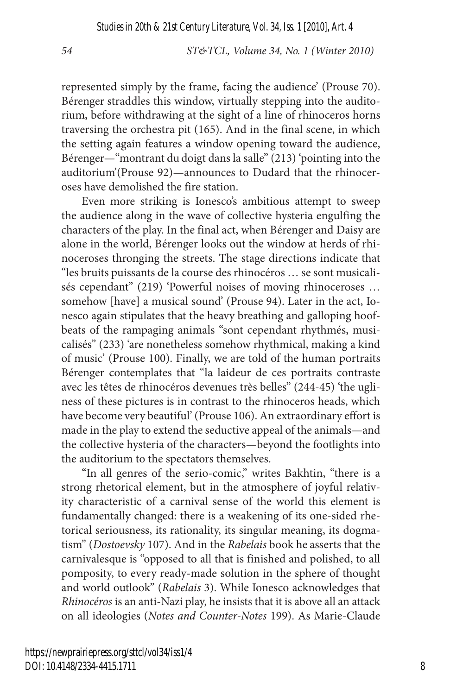represented simply by the frame, facing the audience' (Prouse 70). Bérenger straddles this window, virtually stepping into the auditorium, before withdrawing at the sight of a line of rhinoceros horns traversing the orchestra pit (165). And in the final scene, in which the setting again features a window opening toward the audience, Bérenger—"montrant du doigt dans la salle" (213) 'pointing into the auditorium'(Prouse 92)—announces to Dudard that the rhinoceroses have demolished the fire station.

Even more striking is Ionesco's ambitious attempt to sweep the audience along in the wave of collective hysteria engulfing the characters of the play. In the final act, when Bérenger and Daisy are alone in the world, Bérenger looks out the window at herds of rhinoceroses thronging the streets. The stage directions indicate that "les bruits puissants de la course des rhinocéros … se sont musicalisés cependant" (219) 'Powerful noises of moving rhinoceroses … somehow [have] a musical sound' (Prouse 94). Later in the act, Ionesco again stipulates that the heavy breathing and galloping hoofbeats of the rampaging animals "sont cependant rhythmés, musicalisés" (233) 'are nonetheless somehow rhythmical, making a kind of music' (Prouse 100). Finally, we are told of the human portraits Bérenger contemplates that "la laideur de ces portraits contraste avec les têtes de rhinocéros devenues très belles" (244-45) 'the ugliness of these pictures is in contrast to the rhinoceros heads, which have become very beautiful' (Prouse 106). An extraordinary effort is made in the play to extend the seductive appeal of the animals—and the collective hysteria of the characters—beyond the footlights into the auditorium to the spectators themselves.

"In all genres of the serio-comic," writes Bakhtin, "there is a strong rhetorical element, but in the atmosphere of joyful relativity characteristic of a carnival sense of the world this element is fundamentally changed: there is a weakening of its one-sided rhetorical seriousness, its rationality, its singular meaning, its dogmatism" (*Dostoevsky* 107). And in the *Rabelais* book he asserts that the carnivalesque is "opposed to all that is finished and polished, to all pomposity, to every ready-made solution in the sphere of thought and world outlook" (*Rabelais* 3). While Ionesco acknowledges that *Rhinocéros* is an anti-Nazi play, he insists that it is above all an attack on all ideologies (*Notes and Counter-Notes* 199). As Marie-Claude

https://newprairiepress.org/sttcl/vol34/iss1/4 DOI: 10.4148/2334-4415.1711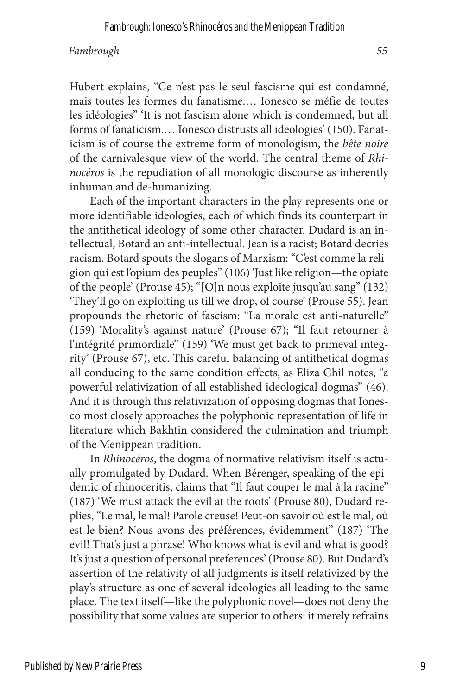Hubert explains, "Ce n'est pas le seul fascisme qui est condamné, mais toutes les formes du fanatisme.… Ionesco se méfie de toutes les idéologies" 'It is not fascism alone which is condemned, but all forms of fanaticism.… Ionesco distrusts all ideologies' (150). Fanaticism is of course the extreme form of monologism, the *bête noire*  of the carnivalesque view of the world. The central theme of *Rhinocéros* is the repudiation of all monologic discourse as inherently inhuman and de-humanizing.

Each of the important characters in the play represents one or more identifiable ideologies, each of which finds its counterpart in the antithetical ideology of some other character. Dudard is an intellectual, Botard an anti-intellectual. Jean is a racist; Botard decries racism. Botard spouts the slogans of Marxism: "C'est comme la religion qui est l'opium des peuples" (106) 'Just like religion—the opiate of the people' (Prouse 45); "[O]n nous exploite jusqu'au sang" (132) 'They'll go on exploiting us till we drop, of course' (Prouse 55). Jean propounds the rhetoric of fascism: "La morale est anti-naturelle" (159) 'Morality's against nature' (Prouse 67); "Il faut retourner à l'intégrité primordiale" (159) 'We must get back to primeval integrity' (Prouse 67), etc. This careful balancing of antithetical dogmas all conducing to the same condition effects, as Eliza Ghil notes, "a powerful relativization of all established ideological dogmas" (46). And it is through this relativization of opposing dogmas that Ionesco most closely approaches the polyphonic representation of life in literature which Bakhtin considered the culmination and triumph of the Menippean tradition.

In *Rhinocéros*, the dogma of normative relativism itself is actually promulgated by Dudard. When Bérenger, speaking of the epidemic of rhinoceritis, claims that "Il faut couper le mal à la racine" (187) 'We must attack the evil at the roots' (Prouse 80), Dudard replies, "Le mal, le mal! Parole creuse! Peut-on savoir où est le mal, où est le bien? Nous avons des préférences, évidemment" (187) 'The evil! That's just a phrase! Who knows what is evil and what is good? It's just a question of personal preferences' (Prouse 80). But Dudard's assertion of the relativity of all judgments is itself relativized by the play's structure as one of several ideologies all leading to the same place. The text itself—like the polyphonic novel—does not deny the possibility that some values are superior to others: it merely refrains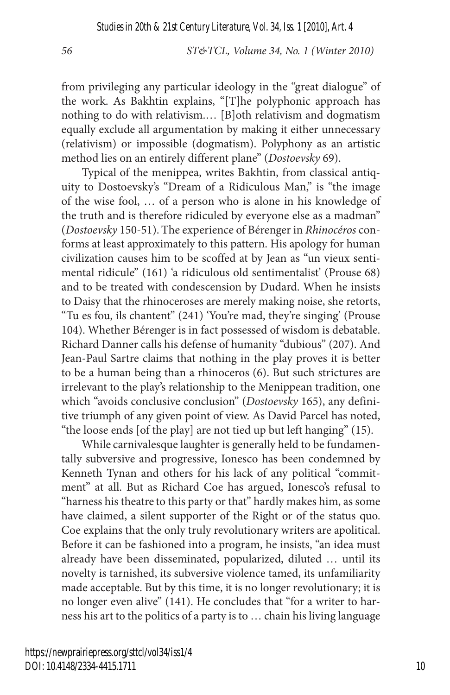from privileging any particular ideology in the "great dialogue" of the work. As Bakhtin explains, "[T]he polyphonic approach has nothing to do with relativism.… [B]oth relativism and dogmatism equally exclude all argumentation by making it either unnecessary (relativism) or impossible (dogmatism). Polyphony as an artistic method lies on an entirely different plane" (*Dostoevsky* 69).

Typical of the menippea, writes Bakhtin, from classical antiquity to Dostoevsky's "Dream of a Ridiculous Man," is "the image of the wise fool, … of a person who is alone in his knowledge of the truth and is therefore ridiculed by everyone else as a madman" (*Dostoevsky* 150-51). The experience of Bérenger in *Rhinocéros* conforms at least approximately to this pattern. His apology for human civilization causes him to be scoffed at by Jean as "un vieux sentimental ridicule" (161) 'a ridiculous old sentimentalist' (Prouse 68) and to be treated with condescension by Dudard. When he insists to Daisy that the rhinoceroses are merely making noise, she retorts, "Tu es fou, ils chantent" (241) 'You're mad, they're singing' (Prouse 104). Whether Bérenger is in fact possessed of wisdom is debatable. Richard Danner calls his defense of humanity "dubious" (207). And Jean-Paul Sartre claims that nothing in the play proves it is better to be a human being than a rhinoceros (6). But such strictures are irrelevant to the play's relationship to the Menippean tradition, one which "avoids conclusive conclusion" (*Dostoevsky* 165), any definitive triumph of any given point of view. As David Parcel has noted, "the loose ends [of the play] are not tied up but left hanging" (15).

While carnivalesque laughter is generally held to be fundamentally subversive and progressive, Ionesco has been condemned by Kenneth Tynan and others for his lack of any political "commitment" at all. But as Richard Coe has argued, Ionesco's refusal to "harness his theatre to this party or that" hardly makes him, as some have claimed, a silent supporter of the Right or of the status quo. Coe explains that the only truly revolutionary writers are apolitical. Before it can be fashioned into a program, he insists, "an idea must already have been disseminated, popularized, diluted … until its novelty is tarnished, its subversive violence tamed, its unfamiliarity made acceptable. But by this time, it is no longer revolutionary; it is no longer even alive" (141). He concludes that "for a writer to harness his art to the politics of a party is to … chain his living language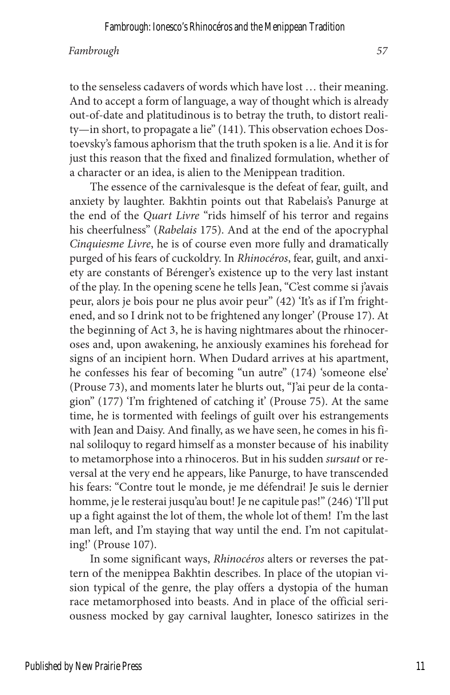to the senseless cadavers of words which have lost … their meaning. And to accept a form of language, a way of thought which is already out-of-date and platitudinous is to betray the truth, to distort reality—in short, to propagate a lie" (141). This observation echoes Dostoevsky's famous aphorism that the truth spoken is a lie. And it is for just this reason that the fixed and finalized formulation, whether of a character or an idea, is alien to the Menippean tradition.

The essence of the carnivalesque is the defeat of fear, guilt, and anxiety by laughter. Bakhtin points out that Rabelais's Panurge at the end of the *Quart Livre* "rids himself of his terror and regains his cheerfulness" (*Rabelais* 175). And at the end of the apocryphal *Cinquiesme Livre*, he is of course even more fully and dramatically purged of his fears of cuckoldry. In *Rhinocéros*, fear, guilt, and anxiety are constants of Bérenger's existence up to the very last instant of the play. In the opening scene he tells Jean, "C'est comme si j'avais peur, alors je bois pour ne plus avoir peur" (42) 'It's as if I'm frightened, and so I drink not to be frightened any longer' (Prouse 17). At the beginning of Act 3, he is having nightmares about the rhinoceroses and, upon awakening, he anxiously examines his forehead for signs of an incipient horn. When Dudard arrives at his apartment, he confesses his fear of becoming "un autre" (174) 'someone else' (Prouse 73), and moments later he blurts out, "J'ai peur de la contagion" (177) 'I'm frightened of catching it' (Prouse 75). At the same time, he is tormented with feelings of guilt over his estrangements with Jean and Daisy. And finally, as we have seen, he comes in his final soliloquy to regard himself as a monster because of his inability to metamorphose into a rhinoceros. But in his sudden *sursaut* or reversal at the very end he appears, like Panurge, to have transcended his fears: "Contre tout le monde, je me défendrai! Je suis le dernier homme, je le resterai jusqu'au bout! Je ne capitule pas!" (246) 'I'll put up a fight against the lot of them, the whole lot of them! I'm the last man left, and I'm staying that way until the end. I'm not capitulating!' (Prouse 107).

In some significant ways, *Rhinocéros* alters or reverses the pattern of the menippea Bakhtin describes. In place of the utopian vision typical of the genre, the play offers a dystopia of the human race metamorphosed into beasts. And in place of the official seriousness mocked by gay carnival laughter, Ionesco satirizes in the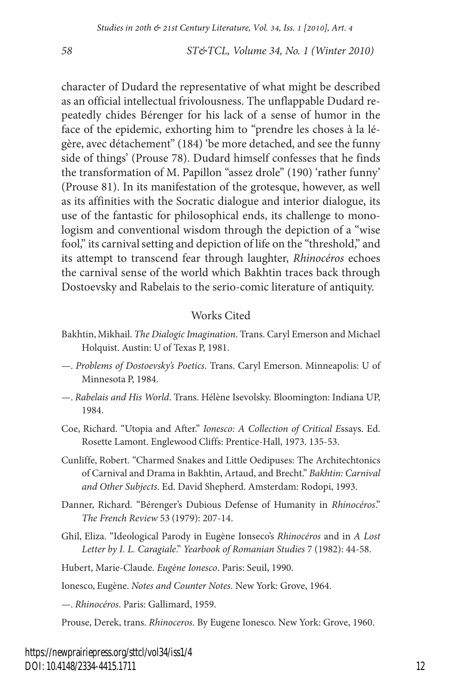character of Dudard the representative of what might be described as an official intellectual frivolousness. The unflappable Dudard repeatedly chides Bérenger for his lack of a sense of humor in the face of the epidemic, exhorting him to "prendre les choses à la légère, avec détachement" (184) 'be more detached, and see the funny side of things' (Prouse 78). Dudard himself confesses that he finds the transformation of M. Papillon "assez drole" (190) 'rather funny' (Prouse 81). In its manifestation of the grotesque, however, as well as its affinities with the Socratic dialogue and interior dialogue, its use of the fantastic for philosophical ends, its challenge to monologism and conventional wisdom through the depiction of a "wise fool," its carnival setting and depiction of life on the "threshold," and its attempt to transcend fear through laughter, *Rhinocéros* echoes the carnival sense of the world which Bakhtin traces back through Dostoevsky and Rabelais to the serio-comic literature of antiquity.

#### Works Cited

- Bakhtin, Mikhail. *The Dialogic Imagination*. Trans. Caryl Emerson and Michael Holquist. Austin: U of Texas P, 1981.
- —. *Problems of Dostoevsky's Poetics*. Trans. Caryl Emerson. Minneapolis: U of Minnesota P, 1984.
- —. *Rabelais and His World*. Trans. Hélène Isevolsky. Bloomington: Indiana UP, 1984.
- Coe, Richard. "Utopia and After." *Ionesco: A Collection of Critical E*ssays. Ed. Rosette Lamont. Englewood Cliffs: Prentice-Hall, 1973. 135-53.
- Cunliffe, Robert. "Charmed Snakes and Little Oedipuses: The Architechtonics of Carnival and Drama in Bakhtin, Artaud, and Brecht." *Bakhtin: Carnival and Other Subjects*. Ed. David Shepherd. Amsterdam: Rodopi, 1993.
- Danner, Richard. "Bérenger's Dubious Defense of Humanity in *Rhinocéros*." *The French Review* 53 (1979): 207-14.
- Ghil, Eliza. "Ideological Parody in Eugène Ionseco's *Rhinocéros* and in *A Lost Letter by I. L. Caragiale*." *Yearbook of Romanian Studies* 7 (1982): 44-58.

Hubert, Marie-Claude. *Eugène Ionesco*. Paris: Seuil, 1990.

Ionesco, Eugène. *Notes and Counter Notes*. New York: Grove, 1964.

—. *Rhinocéros*. Paris: Gallimard, 1959.

Prouse, Derek, trans. *Rhinoceros*. By Eugene Ionesco. New York: Grove, 1960.

https://newprairiepress.org/sttcl/vol34/iss1/4 DOI: 10.4148/2334-4415.1711